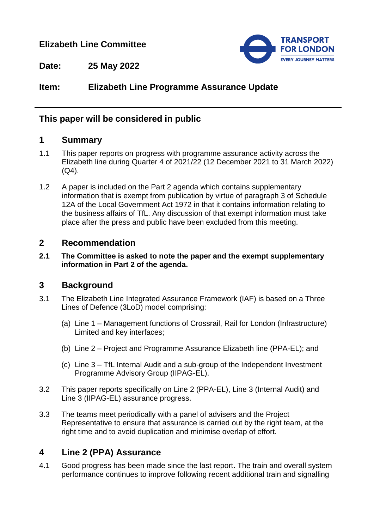## **Elizabeth Line Committee**



**Date: 25 May 2022**

# **Item: Elizabeth Line Programme Assurance Update**

## **This paper will be considered in public**

## **1 Summary**

- 1.1 This paper reports on progress with programme assurance activity across the Elizabeth line during Quarter 4 of 2021/22 (12 December 2021 to 31 March 2022)  $(Q4)$ .
- 1.2 A paper is included on the Part 2 agenda which contains supplementary information that is exempt from publication by virtue of paragraph 3 of Schedule 12A of the Local Government Act 1972 in that it contains information relating to the business affairs of TfL. Any discussion of that exempt information must take place after the press and public have been excluded from this meeting.

### **2 Recommendation**

**2.1 The Committee is asked to note the paper and the exempt supplementary information in Part 2 of the agenda.**

## **3 Background**

- 3.1 The Elizabeth Line Integrated Assurance Framework (IAF) is based on a Three Lines of Defence (3LoD) model comprising:
	- (a) Line 1 Management functions of Crossrail, Rail for London (Infrastructure) Limited and key interfaces;
	- (b) Line 2 Project and Programme Assurance Elizabeth line (PPA-EL); and
	- (c) Line 3 TfL Internal Audit and a sub-group of the Independent Investment Programme Advisory Group (IIPAG-EL).
- 3.2 This paper reports specifically on Line 2 (PPA-EL), Line 3 (Internal Audit) and Line 3 (IIPAG-EL) assurance progress.
- 3.3 The teams meet periodically with a panel of advisers and the Project Representative to ensure that assurance is carried out by the right team, at the right time and to avoid duplication and minimise overlap of effort.

## **4 Line 2 (PPA) Assurance**

4.1 Good progress has been made since the last report. The train and overall system performance continues to improve following recent additional train and signalling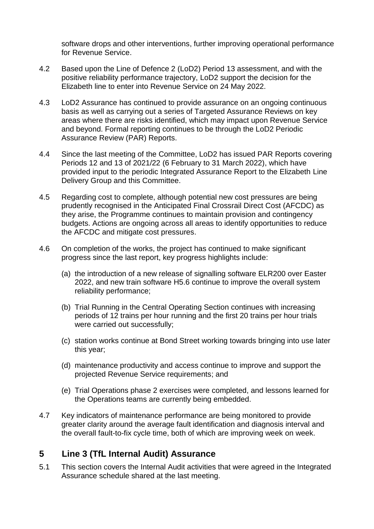software drops and other interventions, further improving operational performance for Revenue Service.

- 4.2 Based upon the Line of Defence 2 (LoD2) Period 13 assessment, and with the positive reliability performance trajectory, LoD2 support the decision for the Elizabeth line to enter into Revenue Service on 24 May 2022.
- 4.3 LoD2 Assurance has continued to provide assurance on an ongoing continuous basis as well as carrying out a series of Targeted Assurance Reviews on key areas where there are risks identified, which may impact upon Revenue Service and beyond. Formal reporting continues to be through the LoD2 Periodic Assurance Review (PAR) Reports.
- 4.4 Since the last meeting of the Committee, LoD2 has issued PAR Reports covering Periods 12 and 13 of 2021/22 (6 February to 31 March 2022), which have provided input to the periodic Integrated Assurance Report to the Elizabeth Line Delivery Group and this Committee.
- 4.5 Regarding cost to complete, although potential new cost pressures are being prudently recognised in the Anticipated Final Crossrail Direct Cost (AFCDC) as they arise, the Programme continues to maintain provision and contingency budgets. Actions are ongoing across all areas to identify opportunities to reduce the AFCDC and mitigate cost pressures.
- 4.6 On completion of the works, the project has continued to make significant progress since the last report, key progress highlights include:
	- (a) the introduction of a new release of signalling software ELR200 over Easter 2022, and new train software H5.6 continue to improve the overall system reliability performance;
	- (b) Trial Running in the Central Operating Section continues with increasing periods of 12 trains per hour running and the first 20 trains per hour trials were carried out successfully;
	- (c) station works continue at Bond Street working towards bringing into use later this year;
	- (d) maintenance productivity and access continue to improve and support the projected Revenue Service requirements; and
	- (e) Trial Operations phase 2 exercises were completed, and lessons learned for the Operations teams are currently being embedded.
- 4.7 Key indicators of maintenance performance are being monitored to provide greater clarity around the average fault identification and diagnosis interval and the overall fault-to-fix cycle time, both of which are improving week on week.

# **5 Line 3 (TfL Internal Audit) Assurance**

5.1 This section covers the Internal Audit activities that were agreed in the Integrated Assurance schedule shared at the last meeting.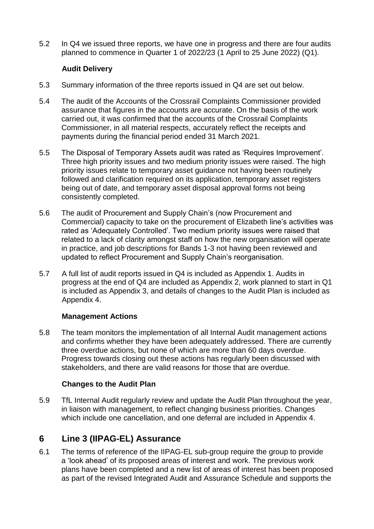5.2 In Q4 we issued three reports, we have one in progress and there are four audits planned to commence in Quarter 1 of 2022/23 (1 April to 25 June 2022) (Q1).

### **Audit Delivery**

- 5.3 Summary information of the three reports issued in Q4 are set out below.
- 5.4 The audit of the Accounts of the Crossrail Complaints Commissioner provided assurance that figures in the accounts are accurate. On the basis of the work carried out, it was confirmed that the accounts of the Crossrail Complaints Commissioner, in all material respects, accurately reflect the receipts and payments during the financial period ended 31 March 2021.
- 5.5 The Disposal of Temporary Assets audit was rated as 'Requires Improvement'. Three high priority issues and two medium priority issues were raised. The high priority issues relate to temporary asset guidance not having been routinely followed and clarification required on its application, temporary asset registers being out of date, and temporary asset disposal approval forms not being consistently completed.
- 5.6 The audit of Procurement and Supply Chain's (now Procurement and Commercial) capacity to take on the procurement of Elizabeth line's activities was rated as 'Adequately Controlled'. Two medium priority issues were raised that related to a lack of clarity amongst staff on how the new organisation will operate in practice, and job descriptions for Bands 1-3 not having been reviewed and updated to reflect Procurement and Supply Chain's reorganisation.
- 5.7 A full list of audit reports issued in Q4 is included as Appendix 1. Audits in progress at the end of Q4 are included as Appendix 2, work planned to start in Q1 is included as Appendix 3, and details of changes to the Audit Plan is included as Appendix 4.

#### **Management Actions**

5.8 The team monitors the implementation of all Internal Audit management actions and confirms whether they have been adequately addressed. There are currently three overdue actions, but none of which are more than 60 days overdue. Progress towards closing out these actions has regularly been discussed with stakeholders, and there are valid reasons for those that are overdue.

## **Changes to the Audit Plan**

5.9 TfL Internal Audit regularly review and update the Audit Plan throughout the year, in liaison with management, to reflect changing business priorities. Changes which include one cancellation, and one deferral are included in Appendix 4.

# **6 Line 3 (IIPAG-EL) Assurance**

6.1 The terms of reference of the IIPAG-EL sub-group require the group to provide a 'look ahead' of its proposed areas of interest and work. The previous work plans have been completed and a new list of areas of interest has been proposed as part of the revised Integrated Audit and Assurance Schedule and supports the